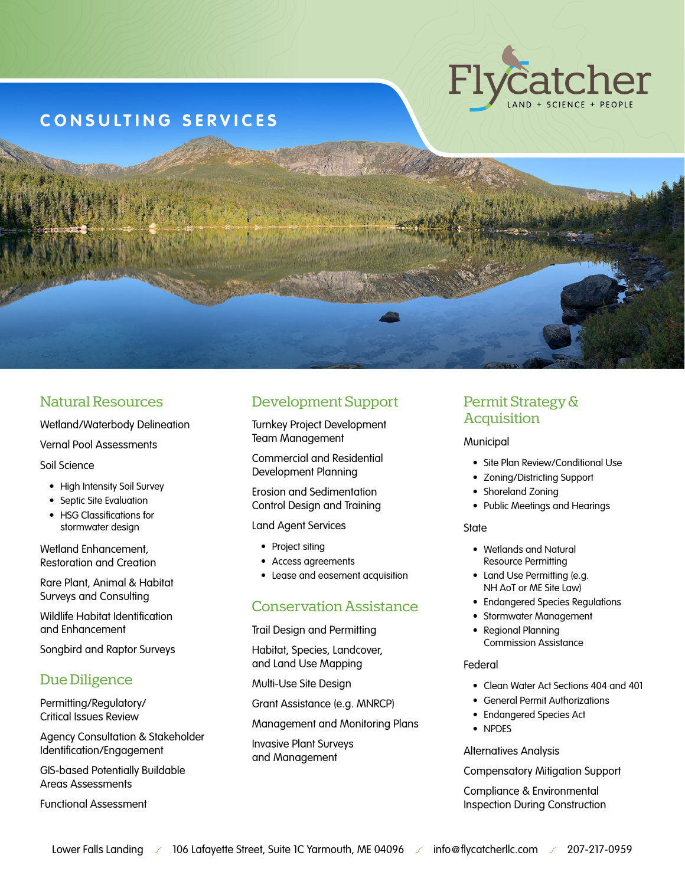

# **CONSULTING SERVICES**

### Natural Resources

Wetland/Waterbody Delineation

Vernal Pool Assessments

Soil Science

- High Intensity Soil Survey
- Septic Site Evaluation
- HSG Classifications for stormwater design

Wetland Enhancement, Restoration and Creation

Rare Plant, Animal & Habitat Surveys and Consulting

Wildlife Habitat Identification and Enhancement

Songbird and Raptor Surveys

### Due Diligence

Permitting/Regulatory/ Critical Issues Review

Agency Consultation & Stakeholder Identification/Engagement

GIS-based Potentially Buildable Areas Assessments

Functional Assessment

## Development Support

Turnkey Project Development Team Management

Commercial and Residential Development Planning

Erosion and Sedimentation Control Design and Training

#### Land Agent Services

- Project siting
- Access agreements
- Lease and easement acquisition

### Conservation Assistance

Trail Design and Permitting

Habitat, Species, Landcover, and Land Use Mapping

Multi-Use Site Design

Grant Assistance (e.g. MNRCP)

Management and Monitoring Plans

Invasive Plant Surveys and Management

### Permit Strategy & **Acquisition**

#### Municipal

- Site Plan Review/Conditional Use
- Zoning/Districting Support
- Shoreland Zoning
- Public Meetings and Hearings

#### **State**

- Wetlands and Natural Resource Permitting
- Land Use Permitting (e.g. NH AoT or ME Site Law)
- Endangered Species Regulations
- Stormwater Management
- Regional Planning Commission Assistance

#### Federal

- Clean Water Act Sections 404 and 401
- General Permit Authorizations
- Endangered Species Act
- NPDES

Alternatives Analysis

Compensatory Mitigation Support

Compliance & Environmental Inspection During Construction